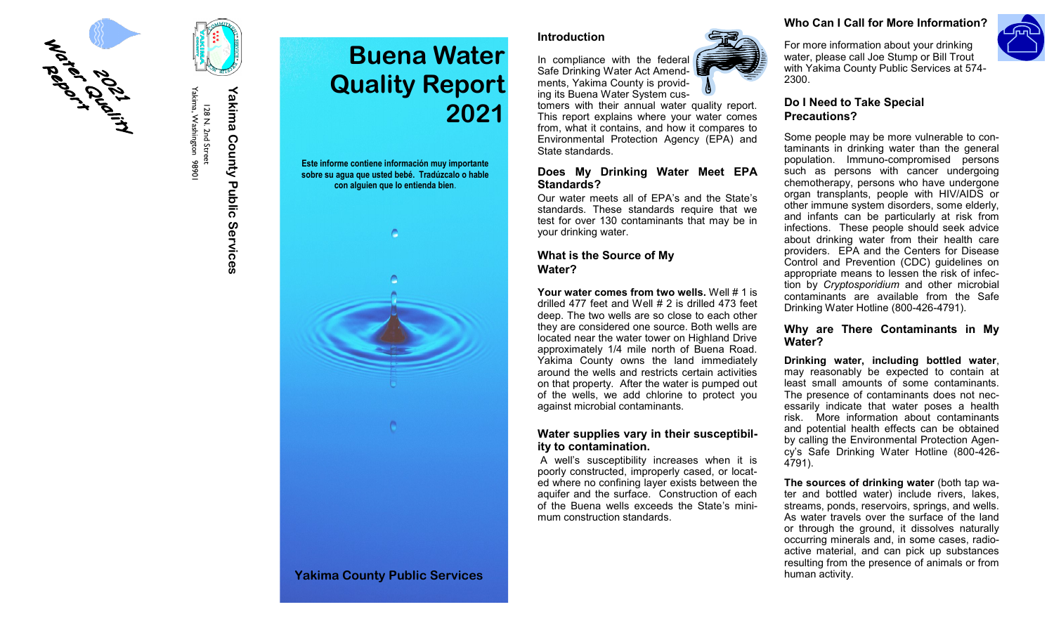

Yakima, Washington 9890 Yakima, Washington 98901 128 N. 2nd Street 128 N. 2nd Street

# Yakima County Public Services **Yakima County Public Services**

# **Buena Water Quality Report 2021**

**Este informe contiene información muy importante sobre su agua que usted bebé. Tradúzcalo o hable con alguien que lo entienda bien**.



#### **Introduction**



Safe Drinking Water Act Amendments, Yakima County is providing its Buena Water System cus-

In compliance with the federal

tomers with their annual water quality report. This report explains where your water comes from, what it contains, and how it compares to Environmental Protection Agency (EPA) and State standards.

#### **Does My Drinking Water Meet EPA Standards?**

Our water meets all of EPA's and the State's standards. These standards require that we test for over 130 contaminants that may be in your drinking water.

## **What is the Source of My Water?**

**Your water comes from two wells.** Well # 1 is drilled 477 feet and Well # 2 is drilled 473 feet deep. The two wells are so close to each other they are considered one source. Both wells are located near the water tower on Highland Drive approximately 1/4 mile north of Buena Road. Yakima County owns the land immediately around the wells and restricts certain activities on that property. After the water is pumped out of the wells, we add chlorine to protect you against microbial contaminants.

#### **Water supplies vary in their susceptibility to contamination.**

A well's susceptibility increases when it is poorly constructed, improperly cased, or located where no confining layer exists between the aquifer and the surface. Construction of each of the Buena wells exceeds the State's minimum construction standards.

#### **Who Can I Call for More Information?**

For more information about your drinking water, please call Joe Stump or Bill Trout with Yakima County Public Services at 574-

# **Do I Need to Take Special Precautions?**

2300.

Some people may be more vulnerable to contaminants in drinking water than the general population. Immuno-compromised persons such as persons with cancer undergoing chemotherapy, persons who have undergone organ transplants, people with HIV/AIDS or other immune system disorders, some elderly, and infants can be particularly at risk from infections. These people should seek advice about drinking water from their health care providers. EPA and the Centers for Disease Control and Prevention (CDC) guidelines on appropriate means to lessen the risk of infection by *Cryptosporidium* and other microbial contaminants are available from the Safe Drinking Water Hotline (800-426-4791).

#### **Why are There Contaminants in My Water?**

**Drinking water, including bottled water**, may reasonably be expected to contain at least small amounts of some contaminants. The presence of contaminants does not necessarily indicate that water poses a health risk. More information about contaminants and potential health effects can be obtained by calling the Environmental Protection Agency's Safe Drinking Water Hotline (800-426- 4791).

**The sources of drinking water** (both tap water and bottled water) include rivers, lakes, streams, ponds, reservoirs, springs, and wells. As water travels over the surface of the land or through the ground, it dissolves naturally occurring minerals and, in some cases, radioactive material, and can pick up substances resulting from the presence of animals or from human activity.